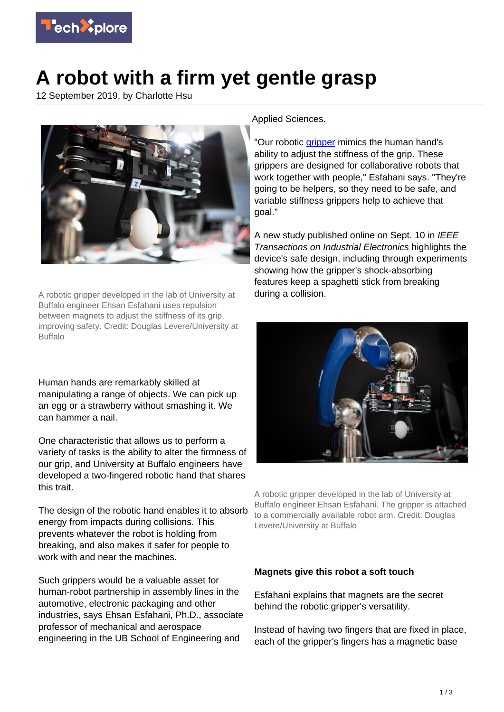

## **A robot with a firm yet gentle grasp**

12 September 2019, by Charlotte Hsu



A robotic gripper developed in the lab of University at Buffalo engineer Ehsan Esfahani uses repulsion between magnets to adjust the stiffness of its grip, improving safety. Credit: Douglas Levere/University at Buffalo

Human hands are remarkably skilled at manipulating a range of objects. We can pick up an egg or a strawberry without smashing it. We can hammer a nail.

One characteristic that allows us to perform a variety of tasks is the ability to alter the firmness of our grip, and University at Buffalo engineers have developed a two-fingered robotic hand that shares this trait.

The design of the robotic hand enables it to absorb energy from impacts during collisions. This prevents whatever the robot is holding from breaking, and also makes it safer for people to work with and near the machines.

Such grippers would be a valuable asset for human-robot partnership in assembly lines in the automotive, electronic packaging and other industries, says Ehsan Esfahani, Ph.D., associate professor of mechanical and aerospace engineering in the UB School of Engineering and

Applied Sciences.

"Our robotic [gripper](https://techxplore.com/tags/gripper/) mimics the human hand's ability to adjust the stiffness of the grip. These grippers are designed for collaborative robots that work together with people," Esfahani says. "They're going to be helpers, so they need to be safe, and variable stiffness grippers help to achieve that goal."

A new study published online on Sept. 10 in IEEE Transactions on Industrial Electronics highlights the device's safe design, including through experiments showing how the gripper's shock-absorbing features keep a spaghetti stick from breaking during a collision.



A robotic gripper developed in the lab of University at Buffalo engineer Ehsan Esfahani. The gripper is attached to a commercially available robot arm. Credit: Douglas Levere/University at Buffalo

## **Magnets give this robot a soft touch**

Esfahani explains that magnets are the secret behind the robotic gripper's versatility.

Instead of having two fingers that are fixed in place, each of the gripper's fingers has a magnetic base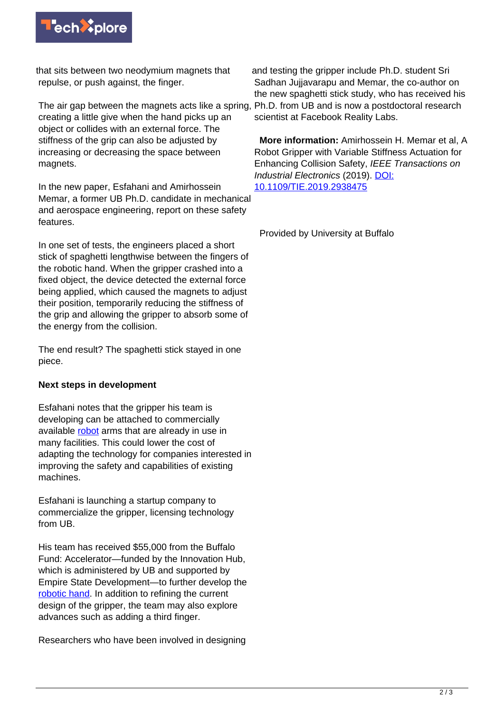

that sits between two neodymium magnets that repulse, or push against, the finger.

The air gap between the magnets acts like a spring, creating a little give when the hand picks up an object or collides with an external force. The stiffness of the grip can also be adjusted by increasing or decreasing the space between magnets.

In the new paper, Esfahani and Amirhossein Memar, a former UB Ph.D. candidate in mechanical and aerospace engineering, report on these safety features.

In one set of tests, the engineers placed a short stick of spaghetti lengthwise between the fingers of the robotic hand. When the gripper crashed into a fixed object, the device detected the external force being applied, which caused the magnets to adjust their position, temporarily reducing the stiffness of the grip and allowing the gripper to absorb some of the energy from the collision.

The end result? The spaghetti stick stayed in one piece.

## **Next steps in development**

Esfahani notes that the gripper his team is developing can be attached to commercially available [robot](https://techxplore.com/tags/robot/) arms that are already in use in many facilities. This could lower the cost of adapting the technology for companies interested in improving the safety and capabilities of existing machines.

Esfahani is launching a startup company to commercialize the gripper, licensing technology from UB.

His team has received \$55,000 from the Buffalo Fund: Accelerator—funded by the Innovation Hub, which is administered by UB and supported by Empire State Development—to further develop the [robotic hand.](https://techxplore.com/tags/robotic+hand/) In addition to refining the current design of the gripper, the team may also explore advances such as adding a third finger.

Researchers who have been involved in designing

and testing the gripper include Ph.D. student Sri Sadhan Jujjavarapu and Memar, the co-author on the new spaghetti stick study, who has received his Ph.D. from UB and is now a postdoctoral research scientist at Facebook Reality Labs.

 **More information:** Amirhossein H. Memar et al, A Robot Gripper with Variable Stiffness Actuation for Enhancing Collision Safety, IEEE Transactions on Industrial Electronics (2019). [DOI:](http://dx.doi.org/10.1109/TIE.2019.2938475) [10.1109/TIE.2019.2938475](http://dx.doi.org/10.1109/TIE.2019.2938475)

Provided by University at Buffalo